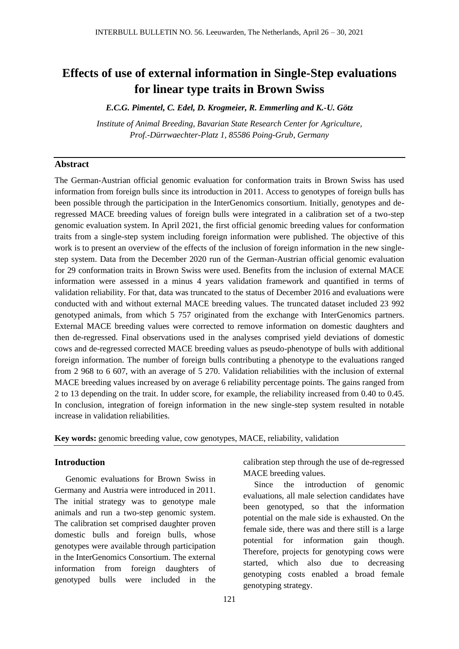# **Effects of use of external information in Single-Step evaluations for linear type traits in Brown Swiss**

*E.C.G. Pimentel, C. Edel, D. Krogmeier, R. Emmerling and K.-U. Götz*

*Institute of Animal Breeding, Bavarian State Research Center for Agriculture, Prof.-Dürrwaechter-Platz 1, 85586 Poing-Grub, Germany*

# **Abstract**

The German-Austrian official genomic evaluation for conformation traits in Brown Swiss has used information from foreign bulls since its introduction in 2011. Access to genotypes of foreign bulls has been possible through the participation in the InterGenomics consortium. Initially, genotypes and deregressed MACE breeding values of foreign bulls were integrated in a calibration set of a two-step genomic evaluation system. In April 2021, the first official genomic breeding values for conformation traits from a single-step system including foreign information were published. The objective of this work is to present an overview of the effects of the inclusion of foreign information in the new singlestep system. Data from the December 2020 run of the German-Austrian official genomic evaluation for 29 conformation traits in Brown Swiss were used. Benefits from the inclusion of external MACE information were assessed in a minus 4 years validation framework and quantified in terms of validation reliability. For that, data was truncated to the status of December 2016 and evaluations were conducted with and without external MACE breeding values. The truncated dataset included 23 992 genotyped animals, from which 5 757 originated from the exchange with InterGenomics partners. External MACE breeding values were corrected to remove information on domestic daughters and then de-regressed. Final observations used in the analyses comprised yield deviations of domestic cows and de-regressed corrected MACE breeding values as pseudo-phenotype of bulls with additional foreign information. The number of foreign bulls contributing a phenotype to the evaluations ranged from 2 968 to 6 607, with an average of 5 270. Validation reliabilities with the inclusion of external MACE breeding values increased by on average 6 reliability percentage points. The gains ranged from 2 to 13 depending on the trait. In udder score, for example, the reliability increased from 0.40 to 0.45. In conclusion, integration of foreign information in the new single-step system resulted in notable increase in validation reliabilities.

**Key words:** genomic breeding value, cow genotypes, MACE, reliability, validation

## **Introduction**

Genomic evaluations for Brown Swiss in Germany and Austria were introduced in 2011. The initial strategy was to genotype male animals and run a two-step genomic system. The calibration set comprised daughter proven domestic bulls and foreign bulls, whose genotypes were available through participation in the InterGenomics Consortium. The external information from foreign daughters of genotyped bulls were included in the

calibration step through the use of de-regressed MACE breeding values.

Since the introduction of genomic evaluations, all male selection candidates have been genotyped, so that the information potential on the male side is exhausted. On the female side, there was and there still is a large potential for information gain though. Therefore, projects for genotyping cows were started, which also due to decreasing genotyping costs enabled a broad female genotyping strategy.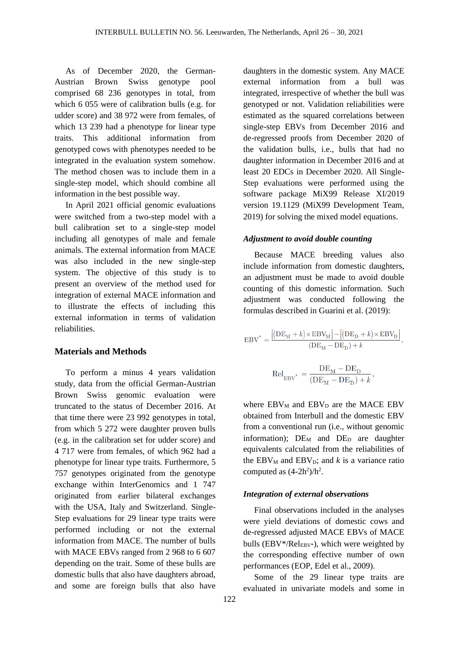As of December 2020, the German-Austrian Brown Swiss genotype pool comprised 68 236 genotypes in total, from which 6 055 were of calibration bulls (e.g. for udder score) and 38 972 were from females, of which 13 239 had a phenotype for linear type traits. This additional information from genotyped cows with phenotypes needed to be integrated in the evaluation system somehow. The method chosen was to include them in a single-step model, which should combine all information in the best possible way.

In April 2021 official genomic evaluations were switched from a two-step model with a bull calibration set to a single-step model including all genotypes of male and female animals. The external information from MACE was also included in the new single-step system. The objective of this study is to present an overview of the method used for integration of external MACE information and to illustrate the effects of including this external information in terms of validation reliabilities.

## **Materials and Methods**

To perform a minus 4 years validation study, data from the official German-Austrian Brown Swiss genomic evaluation were truncated to the status of December 2016. At that time there were 23 992 genotypes in total, from which 5 272 were daughter proven bulls (e.g. in the calibration set for udder score) and 4 717 were from females, of which 962 had a phenotype for linear type traits. Furthermore, 5 757 genotypes originated from the genotype exchange within InterGenomics and 1 747 originated from earlier bilateral exchanges with the USA, Italy and Switzerland. Single-Step evaluations for 29 linear type traits were performed including or not the external information from MACE. The number of bulls with MACE EBVs ranged from 2 968 to 6 607 depending on the trait. Some of these bulls are domestic bulls that also have daughters abroad, and some are foreign bulls that also have

daughters in the domestic system. Any MACE external information from a bull was integrated, irrespective of whether the bull was genotyped or not. Validation reliabilities were estimated as the squared correlations between single-step EBVs from December 2016 and de-regressed proofs from December 2020 of the validation bulls, i.e., bulls that had no daughter information in December 2016 and at least 20 EDCs in December 2020. All Single-Step evaluations were performed using the software package MiX99 Release XI/2019 version 19.1129 (MiX99 Development Team, 2019) for solving the mixed model equations.

#### *Adjustment to avoid double counting*

Because MACE breeding values also include information from domestic daughters, an adjustment must be made to avoid double counting of this domestic information. Such adjustment was conducted following the formulas described in Guarini et al. (2019):

$$
EBV^* = \frac{[(DE_M + k) \times EBV_M] - [(DE_D + k) \times EBV_D]}{(DE_M - DE_D) + k},
$$
  

$$
Rel_{EBV^*} = \frac{DE_M - DE_D}{(DE_M - DE_D) + k},
$$

where  $EBV_M$  and  $EBV_D$  are the MACE EBV obtained from Interbull and the domestic EBV from a conventional run (i.e., without genomic information);  $DE_M$  and  $DE_D$  are daughter equivalents calculated from the reliabilities of the EBV<sub>M</sub> and EBV<sub>D</sub>; and *k* is a variance ratio computed as  $(4-2h^2)/h^2$ .

#### *Integration of external observations*

Final observations included in the analyses were yield deviations of domestic cows and de-regressed adjusted MACE EBVs of MACE bulls ( $EBV^*/Rel_{EBV^*}$ ), which were weighted by the corresponding effective number of own performances (EOP, Edel et al., 2009).

Some of the 29 linear type traits are evaluated in univariate models and some in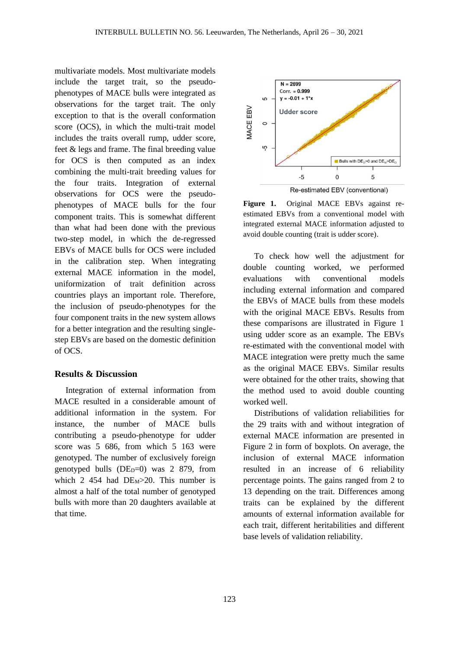multivariate models. Most multivariate models include the target trait, so the pseudophenotypes of MACE bulls were integrated as observations for the target trait. The only exception to that is the overall conformation score (OCS), in which the multi-trait model includes the traits overall rump, udder score, feet & legs and frame. The final breeding value for OCS is then computed as an index combining the multi-trait breeding values for the four traits. Integration of external observations for OCS were the pseudophenotypes of MACE bulls for the four component traits. This is somewhat different than what had been done with the previous two-step model, in which the de-regressed EBVs of MACE bulls for OCS were included in the calibration step. When integrating external MACE information in the model, uniformization of trait definition across countries plays an important role. Therefore, the inclusion of pseudo-phenotypes for the four component traits in the new system allows for a better integration and the resulting singlestep EBVs are based on the domestic definition of OCS.

#### **Results & Discussion**

Integration of external information from MACE resulted in a considerable amount of additional information in the system. For instance, the number of MACE bulls contributing a pseudo-phenotype for udder score was 5 686, from which 5 163 were genotyped. The number of exclusively foreign genotyped bulls  $(DE<sub>D</sub>=0)$  was 2 879, from which 2 454 had  $DE_M > 20$ . This number is almost a half of the total number of genotyped bulls with more than 20 daughters available at that time.



**Figure 1.** Original MACE EBVs against reestimated EBVs from a conventional model with integrated external MACE information adjusted to avoid double counting (trait is udder score).

To check how well the adjustment for double counting worked, we performed evaluations with conventional models including external information and compared the EBVs of MACE bulls from these models with the original MACE EBVs. Results from these comparisons are illustrated in Figure 1 using udder score as an example. The EBVs re-estimated with the conventional model with MACE integration were pretty much the same as the original MACE EBVs. Similar results were obtained for the other traits, showing that the method used to avoid double counting worked well.

Distributions of validation reliabilities for the 29 traits with and without integration of external MACE information are presented in Figure 2 in form of boxplots. On average, the inclusion of external MACE information resulted in an increase of 6 reliability percentage points. The gains ranged from 2 to 13 depending on the trait. Differences among traits can be explained by the different amounts of external information available for each trait, different heritabilities and different base levels of validation reliability.